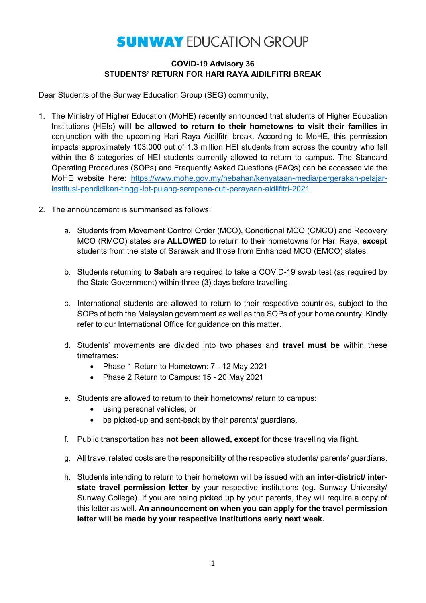#### **COVID-19 Advisory 36 STUDENTS' RETURN FOR HARI RAYA AIDILFITRI BREAK**

Dear Students of the Sunway Education Group (SEG) community,

- 1. The Ministry of Higher Education (MoHE) recently announced that students of Higher Education Institutions (HEIs) **will be allowed to return to their hometowns to visit their families** in conjunction with the upcoming Hari Raya Aidilfitri break. According to MoHE, this permission impacts approximately 103,000 out of 1.3 million HEI students from across the country who fall within the 6 categories of HEI students currently allowed to return to campus. The Standard Operating Procedures (SOPs) and Frequently Asked Questions (FAQs) can be accessed via the MoHE website here: [https://www.mohe.gov.my/hebahan/kenyataan-media/pergerakan-pelajar](https://www.mohe.gov.my/hebahan/kenyataan-media/pergerakan-pelajar-institusi-pendidikan-tinggi-ipt-pulang-sempena-cuti-perayaan-aidilfitri-2021)[institusi-pendidikan-tinggi-ipt-pulang-sempena-cuti-perayaan-aidilfitri-2021](https://www.mohe.gov.my/hebahan/kenyataan-media/pergerakan-pelajar-institusi-pendidikan-tinggi-ipt-pulang-sempena-cuti-perayaan-aidilfitri-2021)
- 2. The announcement is summarised as follows:
	- a. Students from Movement Control Order (MCO), Conditional MCO (CMCO) and Recovery MCO (RMCO) states are **ALLOWED** to return to their hometowns for Hari Raya, **except** students from the state of Sarawak and those from Enhanced MCO (EMCO) states.
	- b. Students returning to **Sabah** are required to take a COVID-19 swab test (as required by the State Government) within three (3) days before travelling.
	- c. International students are allowed to return to their respective countries, subject to the SOPs of both the Malaysian government as well as the SOPs of your home country. Kindly refer to our International Office for guidance on this matter.
	- d. Students' movements are divided into two phases and **travel must be** within these timeframes:
		- Phase 1 Return to Hometown: 7 12 May 2021
		- Phase 2 Return to Campus: 15 20 May 2021
	- e. Students are allowed to return to their hometowns/ return to campus:
		- using personal vehicles; or
		- be picked-up and sent-back by their parents/ guardians.
	- f. Public transportation has **not been allowed, except** for those travelling via flight.
	- g. All travel related costs are the responsibility of the respective students/ parents/ guardians.
	- h. Students intending to return to their hometown will be issued with **an inter-district/ interstate travel permission letter** by your respective institutions (eg. Sunway University/ Sunway College). If you are being picked up by your parents, they will require a copy of this letter as well. **An announcement on when you can apply for the travel permission letter will be made by your respective institutions early next week.**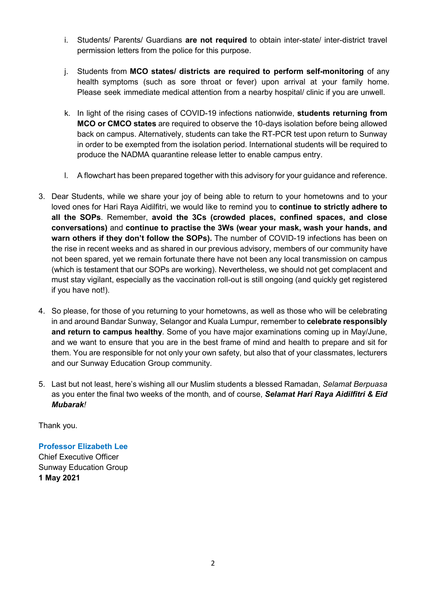- i. Students/ Parents/ Guardians **are not required** to obtain inter-state/ inter-district travel permission letters from the police for this purpose.
- j. Students from **MCO states/ districts are required to perform self-monitoring** of any health symptoms (such as sore throat or fever) upon arrival at your family home. Please seek immediate medical attention from a nearby hospital/ clinic if you are unwell.
- k. In light of the rising cases of COVID-19 infections nationwide, **students returning from MCO or CMCO states** are required to observe the 10-days isolation before being allowed back on campus. Alternatively, students can take the RT-PCR test upon return to Sunway in order to be exempted from the isolation period. International students will be required to produce the NADMA quarantine release letter to enable campus entry.
- l. A flowchart has been prepared together with this advisory for your guidance and reference.
- 3. Dear Students, while we share your joy of being able to return to your hometowns and to your loved ones for Hari Raya Aidilfitri, we would like to remind you to **continue to strictly adhere to all the SOPs**. Remember, **avoid the 3Cs (crowded places, confined spaces, and close conversations)** and **continue to practise the 3Ws (wear your mask, wash your hands, and warn others if they don't follow the SOPs).** The number of COVID-19 infections has been on the rise in recent weeks and as shared in our previous advisory, members of our community have not been spared, yet we remain fortunate there have not been any local transmission on campus (which is testament that our SOPs are working). Nevertheless, we should not get complacent and must stay vigilant, especially as the vaccination roll-out is still ongoing (and quickly get registered if you have not!).
- 4. So please, for those of you returning to your hometowns, as well as those who will be celebrating in and around Bandar Sunway, Selangor and Kuala Lumpur, remember to **celebrate responsibly and return to campus healthy**. Some of you have major examinations coming up in May/June, and we want to ensure that you are in the best frame of mind and health to prepare and sit for them. You are responsible for not only your own safety, but also that of your classmates, lecturers and our Sunway Education Group community.
- 5. Last but not least, here's wishing all our Muslim students a blessed Ramadan, *Selamat Berpuasa* as you enter the final two weeks of the month*,* and of course, *Selamat Hari Raya Aidilfitri & Eid Mubarak!*

Thank you.

**Professor Elizabeth Lee** Chief Executive Officer Sunway Education Group **1 May 2021**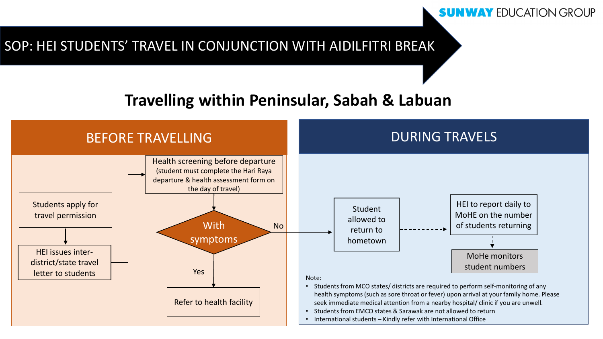### SOP: HEI STUDENTS' TRAVEL IN CONJUNCTION WITH AIDILFITRI BREAK

# **Travelling within Peninsular, Sabah & Labuan**

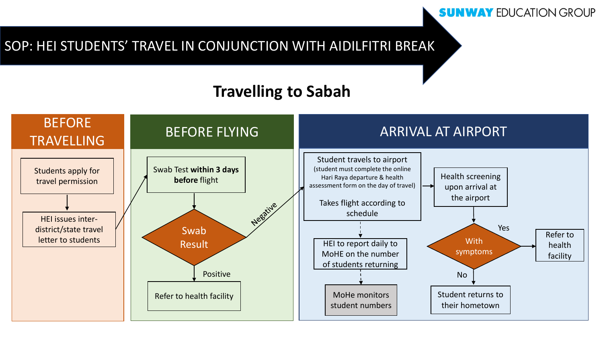# SOP: HEI STUDENTS' TRAVEL IN CONJUNCTION WITH AIDILFITRI BREAK

# **Travelling to Sabah**

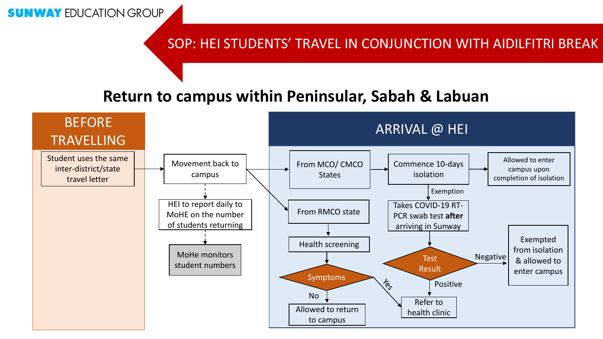#### SOP: HEI STUDENTS' TRAVEL IN CONJUNCTION WITH AIDILFITRI BREAK

# **Return to campus within Peninsular, Sabah & Labuan**